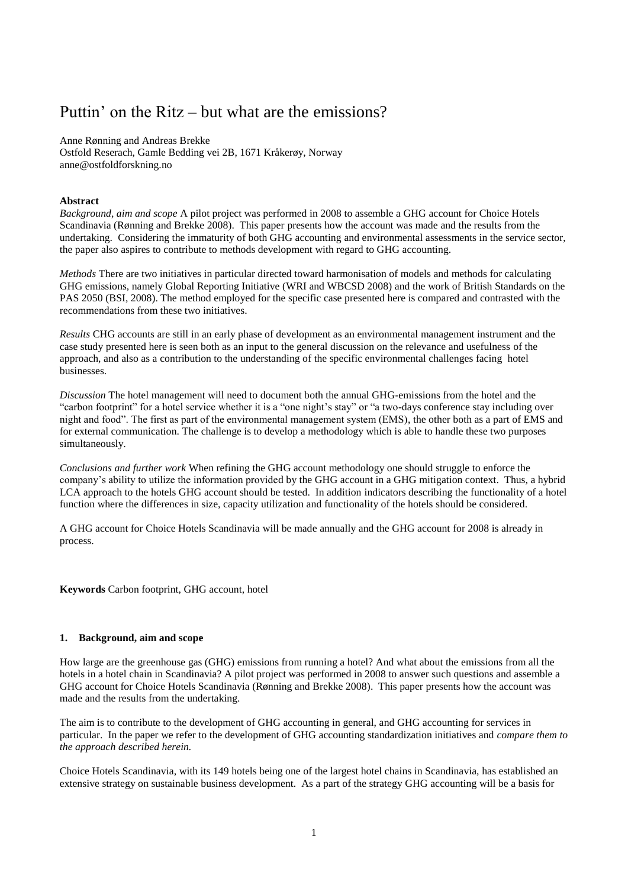# Puttin' on the Ritz – but what are the emissions?

Anne Rønning and Andreas Brekke Ostfold Reserach, Gamle Bedding vei 2B, 1671 Kråkerøy, Norway anne@ostfoldforskning.no

# **Abstract**

*Background, aim and scope* A pilot project was performed in 2008 to assemble a GHG account for Choice Hotels Scandinavia (Rønning and Brekke 2008). This paper presents how the account was made and the results from the undertaking. Considering the immaturity of both GHG accounting and environmental assessments in the service sector, the paper also aspires to contribute to methods development with regard to GHG accounting.

*Methods* There are two initiatives in particular directed toward harmonisation of models and methods for calculating GHG emissions, namely Global Reporting Initiative (WRI and WBCSD 2008) and the work of British Standards on the PAS 2050 (BSI, 2008). The method employed for the specific case presented here is compared and contrasted with the recommendations from these two initiatives.

*Results* CHG accounts are still in an early phase of development as an environmental management instrument and the case study presented here is seen both as an input to the general discussion on the relevance and usefulness of the approach, and also as a contribution to the understanding of the specific environmental challenges facing hotel businesses.

*Discussion* The hotel management will need to document both the annual GHG-emissions from the hotel and the "carbon footprint" for a hotel service whether it is a "one night's stay" or "a two-days conference stay including over night and food". The first as part of the environmental management system (EMS), the other both as a part of EMS and for external communication. The challenge is to develop a methodology which is able to handle these two purposes simultaneously.

*Conclusions and further work* When refining the GHG account methodology one should struggle to enforce the company's ability to utilize the information provided by the GHG account in a GHG mitigation context. Thus, a hybrid LCA approach to the hotels GHG account should be tested. In addition indicators describing the functionality of a hotel function where the differences in size, capacity utilization and functionality of the hotels should be considered.

A GHG account for Choice Hotels Scandinavia will be made annually and the GHG account for 2008 is already in process.

**Keywords** Carbon footprint, GHG account, hotel

## **1. Background, aim and scope**

How large are the greenhouse gas (GHG) emissions from running a hotel? And what about the emissions from all the hotels in a hotel chain in Scandinavia? A pilot project was performed in 2008 to answer such questions and assemble a GHG account for Choice Hotels Scandinavia (Rønning and Brekke 2008). This paper presents how the account was made and the results from the undertaking.

The aim is to contribute to the development of GHG accounting in general, and GHG accounting for services in particular. In the paper we refer to the development of GHG accounting standardization initiatives and *compare them to the approach described herein.*

Choice Hotels Scandinavia, with its 149 hotels being one of the largest hotel chains in Scandinavia, has established an extensive strategy on sustainable business development. As a part of the strategy GHG accounting will be a basis for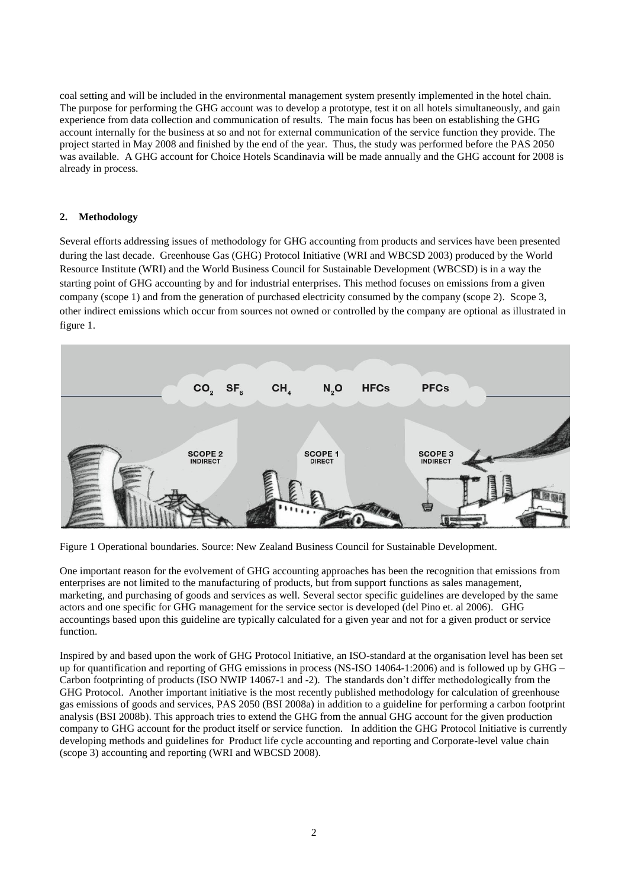coal setting and will be included in the environmental management system presently implemented in the hotel chain. The purpose for performing the GHG account was to develop a prototype, test it on all hotels simultaneously, and gain experience from data collection and communication of results. The main focus has been on establishing the GHG account internally for the business at so and not for external communication of the service function they provide. The project started in May 2008 and finished by the end of the year. Thus, the study was performed before the PAS 2050 was available. A GHG account for Choice Hotels Scandinavia will be made annually and the GHG account for 2008 is already in process.

# **2. Methodology**

Several efforts addressing issues of methodology for GHG accounting from products and services have been presented during the last decade. Greenhouse Gas (GHG) Protocol Initiative (WRI and WBCSD 2003) produced by the World Resource Institute (WRI) and the World Business Council for Sustainable Development (WBCSD) is in a way the starting point of GHG accounting by and for industrial enterprises. This method focuses on emissions from a given company (scope 1) and from the generation of purchased electricity consumed by the company (scope 2). Scope 3, other indirect emissions which occur from sources not owned or controlled by the company are optional as illustrated in figure 1.



Figure 1 Operational boundaries. Source: New Zealand Business Council for Sustainable Development.

One important reason for the evolvement of GHG accounting approaches has been the recognition that emissions from enterprises are not limited to the manufacturing of products, but from support functions as sales management, marketing, and purchasing of goods and services as well. Several sector specific guidelines are developed by the same actors and one specific for GHG management for the service sector is developed (del Pino et. al 2006). GHG accountings based upon this guideline are typically calculated for a given year and not for a given product or service function.

Inspired by and based upon the work of GHG Protocol Initiative, an ISO-standard at the organisation level has been set up for quantification and reporting of GHG emissions in process (NS-ISO 14064-1:2006) and is followed up by GHG – Carbon footprinting of products (ISO NWIP 14067-1 and -2). The standards don't differ methodologically from the GHG Protocol. Another important initiative is the most recently published methodology for calculation of greenhouse gas emissions of goods and services, PAS 2050 (BSI 2008a) in addition to a guideline for performing a carbon footprint analysis (BSI 2008b). This approach tries to extend the GHG from the annual GHG account for the given production company to GHG account for the product itself or service function. In addition the GHG Protocol Initiative is currently developing methods and guidelines for Product life cycle accounting and reporting and Corporate-level value chain (scope 3) accounting and reporting (WRI and WBCSD 2008).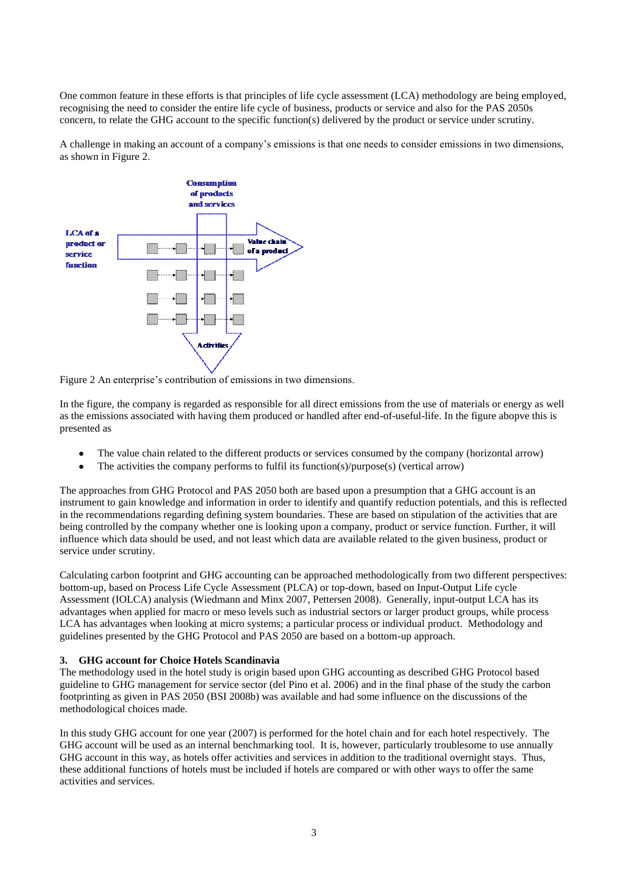One common feature in these efforts is that principles of life cycle assessment (LCA) methodology are being employed, recognising the need to consider the entire life cycle of business, products or service and also for the PAS 2050s concern, to relate the GHG account to the specific function(s) delivered by the product or service under scrutiny.

A challenge in making an account of a company's emissions is that one needs to consider emissions in two dimensions, as shown in Figure 2.



Figure 2 An enterprise's contribution of emissions in two dimensions.

In the figure, the company is regarded as responsible for all direct emissions from the use of materials or energy as well as the emissions associated with having them produced or handled after end-of-useful-life. In the figure abopve this is presented as

- The value chain related to the different products or services consumed by the company (horizontal arrow)
- The activities the company performs to fulfil its function(s)/purpose(s) (vertical arrow)

The approaches from GHG Protocol and PAS 2050 both are based upon a presumption that a GHG account is an instrument to gain knowledge and information in order to identify and quantify reduction potentials, and this is reflected in the recommendations regarding defining system boundaries. These are based on stipulation of the activities that are being controlled by the company whether one is looking upon a company, product or service function. Further, it will influence which data should be used, and not least which data are available related to the given business, product or service under scrutiny.

Calculating carbon footprint and GHG accounting can be approached methodologically from two different perspectives: bottom-up, based on Process Life Cycle Assessment (PLCA) or top-down, based on Input-Output Life cycle Assessment (IOLCA) analysis (Wiedmann and Minx 2007, Pettersen 2008). Generally, input-output LCA has its advantages when applied for macro or meso levels such as industrial sectors or larger product groups, while process LCA has advantages when looking at micro systems; a particular process or individual product. Methodology and guidelines presented by the GHG Protocol and PAS 2050 are based on a bottom-up approach.

# **3. GHG account for Choice Hotels Scandinavia**

The methodology used in the hotel study is origin based upon GHG accounting as described GHG Protocol based guideline to GHG management for service sector (del Pino et al. 2006) and in the final phase of the study the carbon footprinting as given in PAS 2050 (BSI 2008b) was available and had some influence on the discussions of the methodological choices made.

In this study GHG account for one year (2007) is performed for the hotel chain and for each hotel respectively. The GHG account will be used as an internal benchmarking tool. It is, however, particularly troublesome to use annually GHG account in this way, as hotels offer activities and services in addition to the traditional overnight stays. Thus, these additional functions of hotels must be included if hotels are compared or with other ways to offer the same activities and services.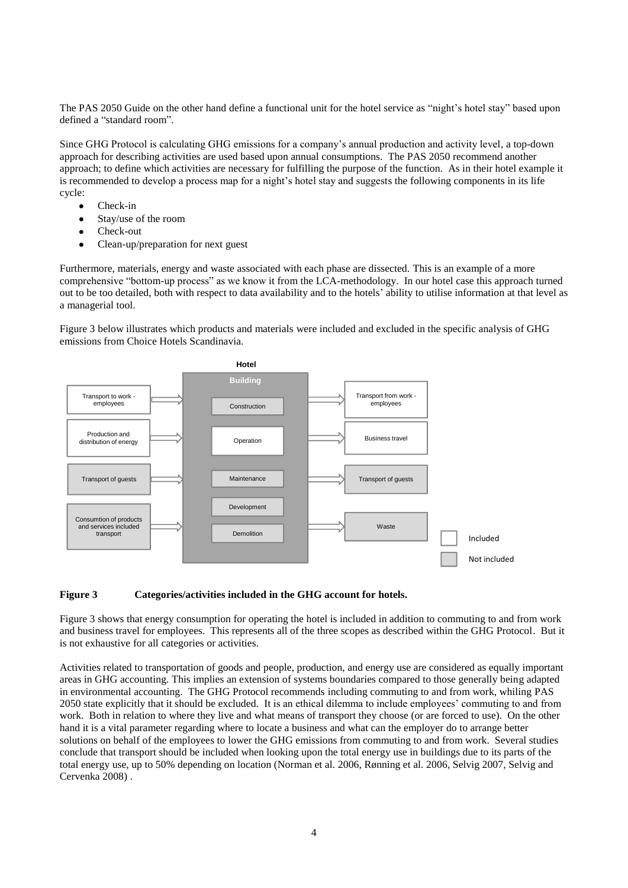The PAS 2050 Guide on the other hand define a functional unit for the hotel service as "night's hotel stay" based upon defined a "standard room".

Since GHG Protocol is calculating GHG emissions for a company's annual production and activity level, a top-down approach for describing activities are used based upon annual consumptions. The PAS 2050 recommend another approach; to define which activities are necessary for fulfilling the purpose of the function. As in their hotel example it is recommended to develop a process map for a night's hotel stay and suggests the following components in its life cycle:

- Check-in
- Stay/use of the room  $\bullet$
- $\bullet$ Check-out
- Clean-up/preparation for next guest  $\bullet$

Furthermore, materials, energy and waste associated with each phase are dissected. This is an example of a more comprehensive "bottom-up process" as we know it from the LCA-methodology. In our hotel case this approach turned out to be too detailed, both with respect to data availability and to the hotels' ability to utilise information at that level as a managerial tool.

Figure 3 below illustrates which products and materials were included and excluded in the specific analysis of GHG emissions from Choice Hotels Scandinavia.



#### **Figure 3 Categories/activities included in the GHG account for hotels.**

Figure 3 shows that energy consumption for operating the hotel is included in addition to commuting to and from work and business travel for employees. This represents all of the three scopes as described within the GHG Protocol. But it is not exhaustive for all categories or activities.

Activities related to transportation of goods and people, production, and energy use are considered as equally important areas in GHG accounting. This implies an extension of systems boundaries compared to those generally being adapted in environmental accounting. The GHG Protocol recommends including commuting to and from work, whiling PAS 2050 state explicitly that it should be excluded. It is an ethical dilemma to include employees' commuting to and from work. Both in relation to where they live and what means of transport they choose (or are forced to use). On the other hand it is a vital parameter regarding where to locate a business and what can the employer do to arrange better solutions on behalf of the employees to lower the GHG emissions from commuting to and from work. Several studies conclude that transport should be included when looking upon the total energy use in buildings due to its parts of the total energy use, up to 50% depending on location (Norman et al. 2006, Rønning et al. 2006, Selvig 2007, Selvig and Cervenka 2008) .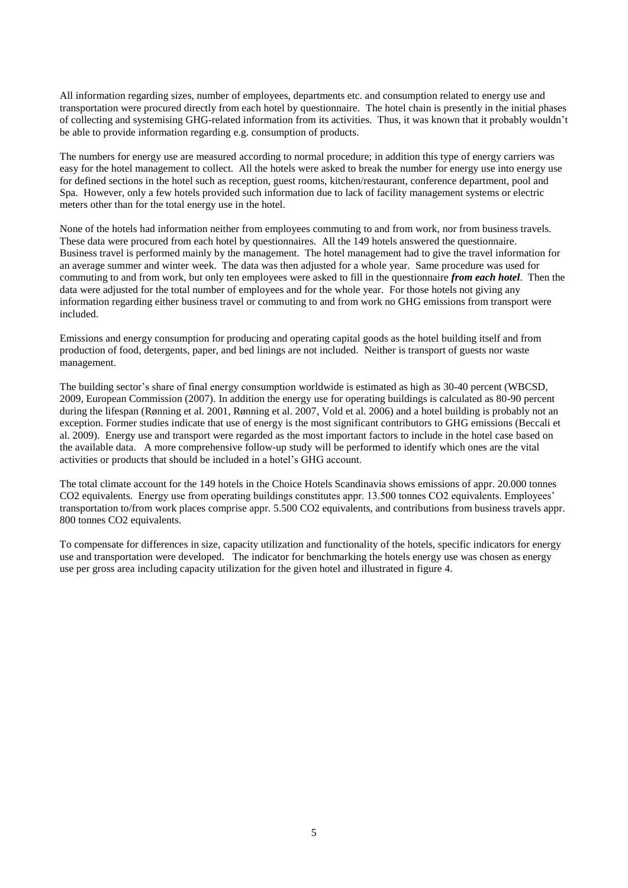All information regarding sizes, number of employees, departments etc. and consumption related to energy use and transportation were procured directly from each hotel by questionnaire. The hotel chain is presently in the initial phases of collecting and systemising GHG-related information from its activities. Thus, it was known that it probably wouldn't be able to provide information regarding e.g. consumption of products.

The numbers for energy use are measured according to normal procedure; in addition this type of energy carriers was easy for the hotel management to collect. All the hotels were asked to break the number for energy use into energy use for defined sections in the hotel such as reception, guest rooms, kitchen/restaurant, conference department, pool and Spa. However, only a few hotels provided such information due to lack of facility management systems or electric meters other than for the total energy use in the hotel.

None of the hotels had information neither from employees commuting to and from work, nor from business travels. These data were procured from each hotel by questionnaires. All the 149 hotels answered the questionnaire. Business travel is performed mainly by the management. The hotel management had to give the travel information for an average summer and winter week. The data was then adjusted for a whole year. Same procedure was used for commuting to and from work, but only ten employees were asked to fill in the questionnaire *from each hotel*. Then the data were adjusted for the total number of employees and for the whole year. For those hotels not giving any information regarding either business travel or commuting to and from work no GHG emissions from transport were included.

Emissions and energy consumption for producing and operating capital goods as the hotel building itself and from production of food, detergents, paper, and bed linings are not included. Neither is transport of guests nor waste management.

The building sector's share of final energy consumption worldwide is estimated as high as 30-40 percent (WBCSD, 2009, European Commission (2007). In addition the energy use for operating buildings is calculated as 80-90 percent during the lifespan (Rønning et al. 2001, Rønning et al. 2007, Vold et al. 2006) and a hotel building is probably not an exception. Former studies indicate that use of energy is the most significant contributors to GHG emissions (Beccali et al. 2009). Energy use and transport were regarded as the most important factors to include in the hotel case based on the available data. A more comprehensive follow-up study will be performed to identify which ones are the vital activities or products that should be included in a hotel's GHG account.

The total climate account for the 149 hotels in the Choice Hotels Scandinavia shows emissions of appr. 20.000 tonnes CO2 equivalents. Energy use from operating buildings constitutes appr. 13.500 tonnes CO2 equivalents. Employees' transportation to/from work places comprise appr. 5.500 CO2 equivalents, and contributions from business travels appr. 800 tonnes CO2 equivalents.

To compensate for differences in size, capacity utilization and functionality of the hotels, specific indicators for energy use and transportation were developed. The indicator for benchmarking the hotels energy use was chosen as energy use per gross area including capacity utilization for the given hotel and illustrated in figure 4.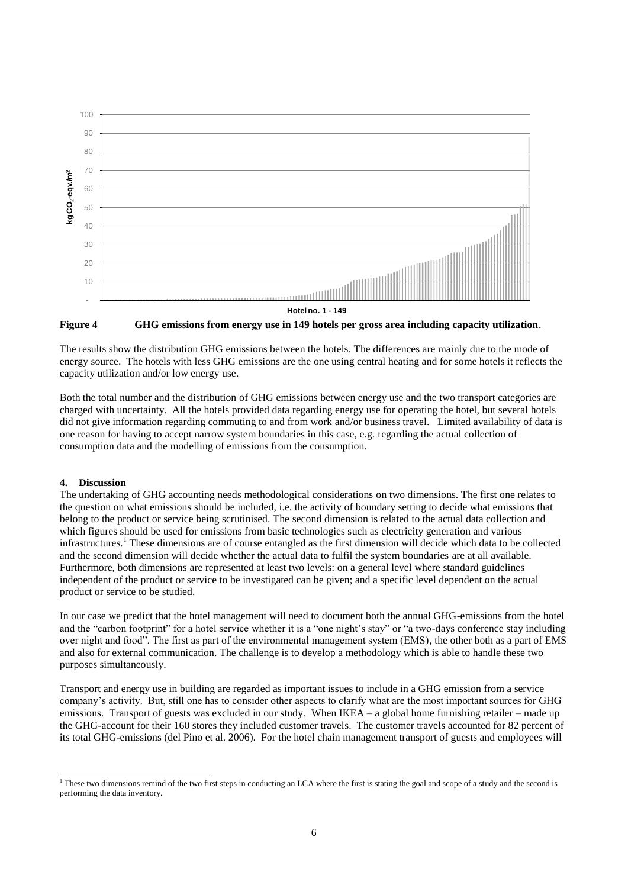



The results show the distribution GHG emissions between the hotels. The differences are mainly due to the mode of energy source. The hotels with less GHG emissions are the one using central heating and for some hotels it reflects the capacity utilization and/or low energy use.

Both the total number and the distribution of GHG emissions between energy use and the two transport categories are charged with uncertainty. All the hotels provided data regarding energy use for operating the hotel, but several hotels did not give information regarding commuting to and from work and/or business travel. Limited availability of data is one reason for having to accept narrow system boundaries in this case, e.g. regarding the actual collection of consumption data and the modelling of emissions from the consumption.

## **4. Discussion**

The undertaking of GHG accounting needs methodological considerations on two dimensions. The first one relates to the question on what emissions should be included, i.e. the activity of boundary setting to decide what emissions that belong to the product or service being scrutinised. The second dimension is related to the actual data collection and which figures should be used for emissions from basic technologies such as electricity generation and various infrastructures.<sup>1</sup> These dimensions are of course entangled as the first dimension will decide which data to be collected and the second dimension will decide whether the actual data to fulfil the system boundaries are at all available. Furthermore, both dimensions are represented at least two levels: on a general level where standard guidelines independent of the product or service to be investigated can be given; and a specific level dependent on the actual product or service to be studied.

In our case we predict that the hotel management will need to document both the annual GHG-emissions from the hotel and the "carbon footprint" for a hotel service whether it is a "one night's stay" or "a two-days conference stay including over night and food". The first as part of the environmental management system (EMS), the other both as a part of EMS and also for external communication. The challenge is to develop a methodology which is able to handle these two purposes simultaneously.

Transport and energy use in building are regarded as important issues to include in a GHG emission from a service company's activity. But, still one has to consider other aspects to clarify what are the most important sources for GHG emissions. Transport of guests was excluded in our study. When IKEA – a global home furnishing retailer – made up the GHG-account for their 160 stores they included customer travels. The customer travels accounted for 82 percent of its total GHG-emissions (del Pino et al. 2006). For the hotel chain management transport of guests and employees will

 $\overline{a}$  $<sup>1</sup>$  These two dimensions remind of the two first steps in conducting an LCA where the first is stating the goal and scope of a study and the second is</sup> performing the data inventory.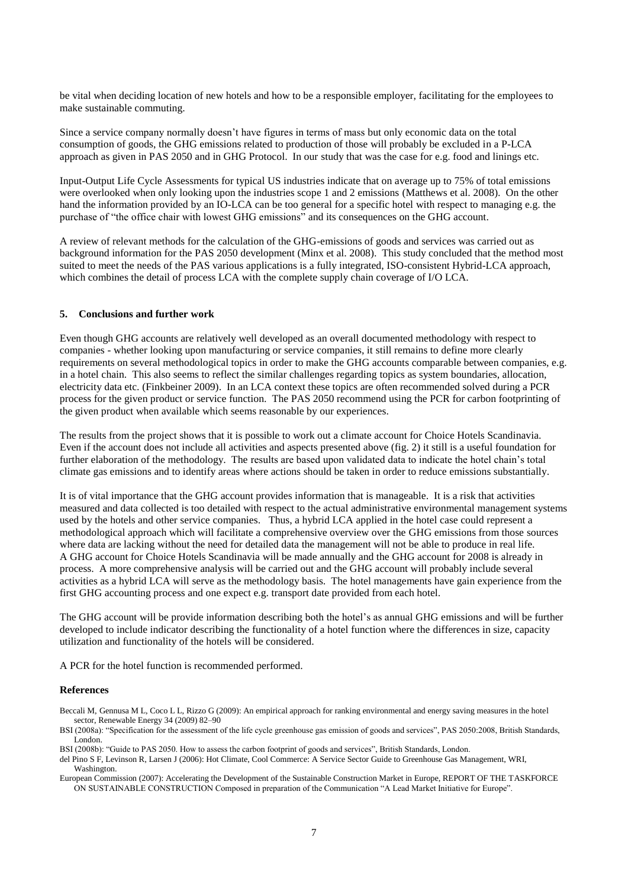be vital when deciding location of new hotels and how to be a responsible employer, facilitating for the employees to make sustainable commuting.

Since a service company normally doesn't have figures in terms of mass but only economic data on the total consumption of goods, the GHG emissions related to production of those will probably be excluded in a P-LCA approach as given in PAS 2050 and in GHG Protocol. In our study that was the case for e.g. food and linings etc.

Input-Output Life Cycle Assessments for typical US industries indicate that on average up to 75% of total emissions were overlooked when only looking upon the industries scope 1 and 2 emissions (Matthews et al. 2008). On the other hand the information provided by an IO-LCA can be too general for a specific hotel with respect to managing e.g. the purchase of "the office chair with lowest GHG emissions" and its consequences on the GHG account.

A review of relevant methods for the calculation of the GHG-emissions of goods and services was carried out as background information for the PAS 2050 development (Minx et al. 2008). This study concluded that the method most suited to meet the needs of the PAS various applications is a fully integrated, ISO-consistent Hybrid-LCA approach, which combines the detail of process LCA with the complete supply chain coverage of I/O LCA.

#### **5. Conclusions and further work**

Even though GHG accounts are relatively well developed as an overall documented methodology with respect to companies - whether looking upon manufacturing or service companies, it still remains to define more clearly requirements on several methodological topics in order to make the GHG accounts comparable between companies, e.g. in a hotel chain. This also seems to reflect the similar challenges regarding topics as system boundaries, allocation, electricity data etc. (Finkbeiner 2009). In an LCA context these topics are often recommended solved during a PCR process for the given product or service function. The PAS 2050 recommend using the PCR for carbon footprinting of the given product when available which seems reasonable by our experiences.

The results from the project shows that it is possible to work out a climate account for Choice Hotels Scandinavia. Even if the account does not include all activities and aspects presented above (fig. 2) it still is a useful foundation for further elaboration of the methodology. The results are based upon validated data to indicate the hotel chain's total climate gas emissions and to identify areas where actions should be taken in order to reduce emissions substantially.

It is of vital importance that the GHG account provides information that is manageable. It is a risk that activities measured and data collected is too detailed with respect to the actual administrative environmental management systems used by the hotels and other service companies. Thus, a hybrid LCA applied in the hotel case could represent a methodological approach which will facilitate a comprehensive overview over the GHG emissions from those sources where data are lacking without the need for detailed data the management will not be able to produce in real life. A GHG account for Choice Hotels Scandinavia will be made annually and the GHG account for 2008 is already in process. A more comprehensive analysis will be carried out and the GHG account will probably include several activities as a hybrid LCA will serve as the methodology basis. The hotel managements have gain experience from the first GHG accounting process and one expect e.g. transport date provided from each hotel.

The GHG account will be provide information describing both the hotel's as annual GHG emissions and will be further developed to include indicator describing the functionality of a hotel function where the differences in size, capacity utilization and functionality of the hotels will be considered.

A PCR for the hotel function is recommended performed.

#### **References**

Beccali M, Gennusa M L, Coco L L, Rizzo G (2009): An empirical approach for ranking environmental and energy saving measures in the hotel sector, Renewable Energy 34 (2009) 82–90

BSI (2008a): "Specification for the assessment of the life cycle greenhouse gas emission of goods and services", PAS 2050:2008, British Standards, London.

BSI (2008b): "Guide to PAS 2050. How to assess the carbon footprint of goods and services", British Standards, London.

del Pino S F, Levinson R, Larsen J (2006): Hot Climate, Cool Commerce: A Service Sector Guide to Greenhouse Gas Management, WRI, Washington.

European Commission (2007): Accelerating the Development of the Sustainable Construction Market in Europe, REPORT OF THE TASKFORCE ON SUSTAINABLE CONSTRUCTION Composed in preparation of the Communication "A Lead Market Initiative for Europe".